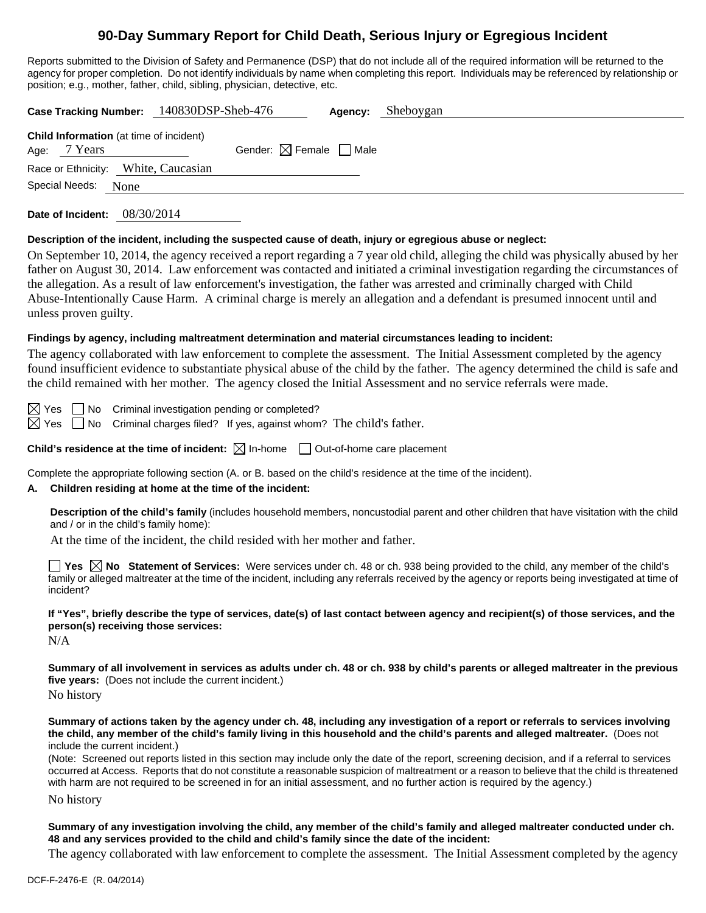# **90-Day Summary Report for Child Death, Serious Injury or Egregious Incident**

Reports submitted to the Division of Safety and Permanence (DSP) that do not include all of the required information will be returned to the agency for proper completion. Do not identify individuals by name when completing this report. Individuals may be referenced by relationship or<br>position: e.g., mather, father, child, cibling, physician, detective, etc. prosition; motive, motive, etc., motive, etc., etc., etc., etc., etc., etc., etc., etc., etc., etc., etc., etc., etc., etc., etc., etc., etc., etc., etc., etc., etc., etc., etc., etc., etc., etc., etc., etc., etc., etc., e

| position, e.g., mother, rather, child, sibiling, priysician, detective, etc.                                                                                                                                                                                                                                                                                                                                                                                                                                                                                                                                                                                        |
|---------------------------------------------------------------------------------------------------------------------------------------------------------------------------------------------------------------------------------------------------------------------------------------------------------------------------------------------------------------------------------------------------------------------------------------------------------------------------------------------------------------------------------------------------------------------------------------------------------------------------------------------------------------------|
| Case Tracking Number: 140830DSP-Sheb-476<br>Sheboygan<br>Agency:                                                                                                                                                                                                                                                                                                                                                                                                                                                                                                                                                                                                    |
| Child Information (at time of incident)<br>7 Years<br>Gender: $\boxtimes$ Female $\Box$ Male<br>Age:                                                                                                                                                                                                                                                                                                                                                                                                                                                                                                                                                                |
| Race or Ethnicity: White, Caucasian                                                                                                                                                                                                                                                                                                                                                                                                                                                                                                                                                                                                                                 |
| Special Needs:<br>None                                                                                                                                                                                                                                                                                                                                                                                                                                                                                                                                                                                                                                              |
| Date of Incident: 08/30/2014                                                                                                                                                                                                                                                                                                                                                                                                                                                                                                                                                                                                                                        |
| Description of the incident, including the suspected cause of death, injury or egregious abuse or neglect:<br>On September 10, 2014, the agency received a report regarding a 7 year old child, alleging the child was physically abused by her<br>father on August 30, 2014. Law enforcement was contacted and initiated a criminal investigation regarding the circumstances of<br>the allegation. As a result of law enforcement's investigation, the father was arrested and criminally charged with Child<br>Abuse-Intentionally Cause Harm. A criminal charge is merely an allegation and a defendant is presumed innocent until and<br>unless proven guilty. |
| Findings by agency, including maltreatment determination and material circumstances leading to incident:<br>The agency collaborated with law enforcement to complete the assessment. The Initial Assessment completed by the agency<br>found insufficient evidence to substantiate physical abuse of the child by the father. The agency determined the child is safe and<br>the child remained with her mother. The agency closed the Initial Assessment and no service referrals were made.                                                                                                                                                                       |
| $\boxtimes$ Yes<br>No Criminal investigation pending or completed?<br>$\boxtimes$ Yes<br>No Criminal charges filed? If yes, against whom? The child's father.                                                                                                                                                                                                                                                                                                                                                                                                                                                                                                       |
| Child's residence at the time of incident: $\boxtimes$ In-home<br>Out-of-home care placement                                                                                                                                                                                                                                                                                                                                                                                                                                                                                                                                                                        |
| Complete the appropriate following section (A. or B. based on the child's residence at the time of the incident).<br>Children residing at home at the time of the incident:<br>А.                                                                                                                                                                                                                                                                                                                                                                                                                                                                                   |
| Description of the child's family (includes household members, noncustodial parent and other children that have visitation with the child<br>and / or in the child's family home):<br>At the time of the incident, the child resided with her mother and father.                                                                                                                                                                                                                                                                                                                                                                                                    |
| <b>Thes </b> $\boxtimes$ No Statement of Services: Were services under ch. 48 or ch. 938 being provided to the child, any member of the child's<br>family or alleged maltreater at the time of the incident, including any referrals received by the agency or reports being investigated at time of<br>incident?                                                                                                                                                                                                                                                                                                                                                   |
| If "Yes", briefly describe the type of services, date(s) of last contact between agency and recipient(s) of those services, and the<br>person(s) receiving those services:<br>N/A                                                                                                                                                                                                                                                                                                                                                                                                                                                                                   |
| Summary of all involvement in services as adults under ch. 48 or ch. 938 by child's parents or alleged maltreater in the previous<br>five years: (Does not include the current incident.)<br>No history                                                                                                                                                                                                                                                                                                                                                                                                                                                             |
| Summary of actions taken by the agency under ch. 48, including any investigation of a report or referrals to services involving<br>the child, any member of the child's family living in this household and the child's parents and alleged maltreater. (Does not<br>include the current incident.)<br>(Note: Screened out reports listed in this section may include only the date of the report, screening decision, and if a referral to services<br>occurred at Access. Reports that do not constitute a reasonable suspicion of maltreatment or a reason to believe that the child is threatened                                                               |

with harm are not required to be screened in for an initial assessment, and no further action is required by the agency.)

No history

**Summary of any investigation involving the child, any member of the child's family and alleged maltreater conducted under ch. 48 and any services provided to the child and child's family since the date of the incident:** 

The agency collaborated with law enforcement to complete the assessment. The Initial Assessment completed by the agency